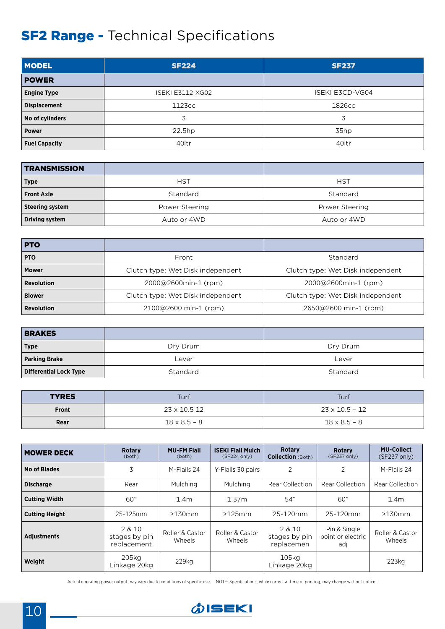## **SF2 Range - Technical Specifications**

| <b>MODEL</b>         | <b>SF224</b>            | <b>SF237</b>           |
|----------------------|-------------------------|------------------------|
| <b>POWER</b>         |                         |                        |
| <b>Engine Type</b>   | <b>ISEKI E3112-XG02</b> | <b>ISEKI E3CD-VG04</b> |
| <b>Displacement</b>  | 1123cc                  | 1826cc                 |
| No of cylinders      | 3                       | 3                      |
| <b>Power</b>         | 22.5hp                  | 35hp                   |
| <b>Fuel Capacity</b> | 40 <sub>ltr</sub>       | 40 <sub>ltr</sub>      |

| <b>TRANSMISSION</b>    |                |                |
|------------------------|----------------|----------------|
| <b>Type</b>            | <b>HST</b>     | <b>HST</b>     |
| <b>Front Axle</b>      | Standard       | Standard       |
| <b>Steering system</b> | Power Steering | Power Steering |
| <b>Driving system</b>  | Auto or 4WD    | Auto or 4WD    |

| <b>PTO</b>        |                                   |                                   |
|-------------------|-----------------------------------|-----------------------------------|
| <b>PTO</b>        | Front                             | Standard                          |
| <b>Mower</b>      | Clutch type: Wet Disk independent | Clutch type: Wet Disk independent |
| <b>Revolution</b> | 2000@2600min-1 (rpm)              | 2000@2600min-1 (rpm)              |
| <b>Blower</b>     | Clutch type: Wet Disk independent | Clutch type: Wet Disk independent |
| <b>Revolution</b> | $2100@2600$ min-1 (rpm)           | $2650@2600$ min-1 (rpm)           |

| <b>BRAKES</b>                 |          |          |
|-------------------------------|----------|----------|
| <b>Type</b>                   | Dry Drum | Dry Drum |
| <b>Parking Brake</b>          | Lever    | Lever    |
| <b>Differential Lock Type</b> | Standard | Standard |

| <b>TYRES</b> | Turf                | Turf                |
|--------------|---------------------|---------------------|
| Front        | 23 x 10.5 12        | 23 x 10.5 - 12      |
| Rear         | $18 \times 8.5 - 8$ | $18 \times 8.5 - 8$ |

| <b>MOWER DECK</b>     | <b>Rotary</b><br>(both)                | <b>MU-FM Flail</b><br>(both) | <b>ISEKI Flail Mulch</b><br>(SF224 only) | <b>Rotary</b><br><b>Collection</b> (Both) | <b>Rotary</b><br>$(SF237 \text{ only})$  | <b>MU-Collect</b><br>$(SF237 \text{ only})$ |
|-----------------------|----------------------------------------|------------------------------|------------------------------------------|-------------------------------------------|------------------------------------------|---------------------------------------------|
| <b>No of Blades</b>   | 3                                      | M-Flails 24                  | Y-Flails 30 pairs                        | 2                                         | 2                                        | M-Flails 24                                 |
| <b>Discharge</b>      | Rear                                   | Mulching                     | <b>Mulching</b>                          | Rear Collection                           | Rear Collection                          | Rear Collection                             |
| <b>Cutting Width</b>  | 60"                                    | 1.4 <sub>m</sub>             | 1.37m                                    | 54"                                       | 60"                                      | 1.4 <sub>m</sub>                            |
| <b>Cutting Height</b> | 25-125mm                               | $>130$ mm                    | >125mm                                   | 25-120mm                                  | 25-120mm                                 | $>130$ mm                                   |
| <b>Adiustments</b>    | 2 & 10<br>stages by pin<br>replacement | Roller & Castor<br>Wheels    | Roller & Castor<br>Wheels                | 2 & 10<br>stages by pin<br>replacemen     | Pin & Single<br>point or electric<br>adi | Roller & Castor<br>Wheels                   |
| Weight                | 205kg<br>Linkage 20kg                  | 229kg                        |                                          | 105ka<br>Linkage 20kg                     |                                          | $223$ kg                                    |

Actual operating power output may vary due to conditions of specific use. NOTE: Specifications, while correct at time of printing, may change without notice.